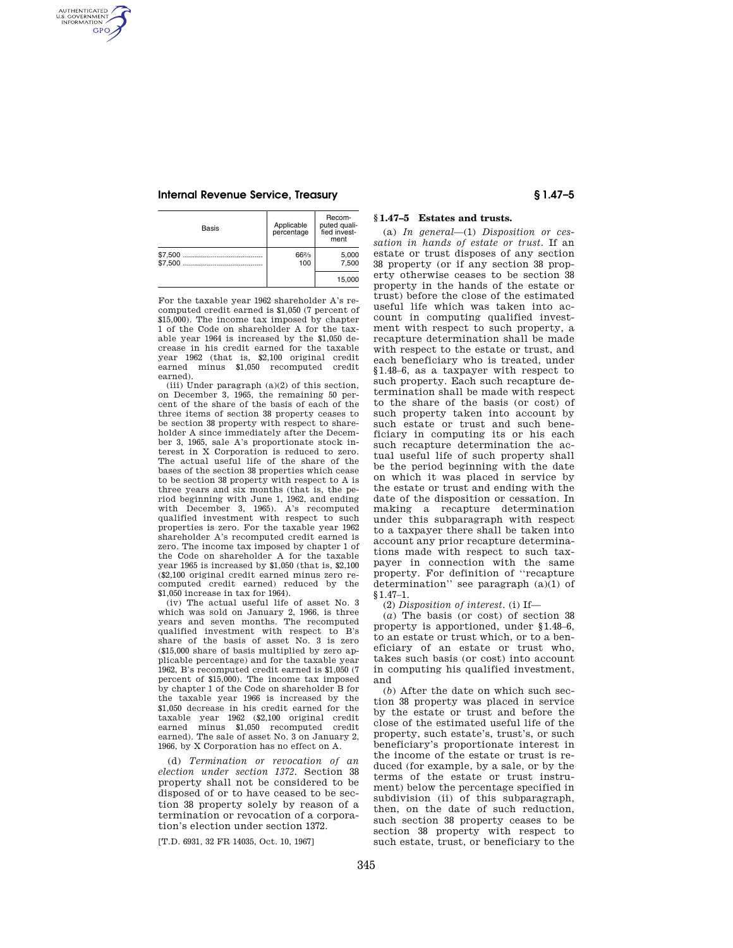# **Internal Revenue Service, Treasury § 1.47–5**

AUTHENTICATED<br>U.S. GOVERNMENT<br>INFORMATION **GPO** 

| Basis | Applicable<br>percentage | Recom-<br>puted quali-<br>fied invest-<br>ment |
|-------|--------------------------|------------------------------------------------|
|       | 66%<br>100               | 5.000<br>7.500                                 |
|       |                          | 15.000                                         |

For the taxable year 1962 shareholder A's recomputed credit earned is \$1,050 (7 percent of \$15,000). The income tax imposed by chapter 1 of the Code on shareholder A for the taxable year 1964 is increased by the \$1,050 decrease in his credit earned for the taxable year 1962 (that is, \$2,100 original credit earned minus \$1,050 recomputed credit earned).

(iii) Under paragraph (a)(2) of this section, on December 3, 1965, the remaining 50 percent of the share of the basis of each of the three items of section 38 property ceases to be section 38 property with respect to shareholder A since immediately after the December 3, 1965, sale A's proportionate stock interest in X Corporation is reduced to zero. The actual useful life of the share of the bases of the section 38 properties which cease to be section 38 property with respect to A is three years and six months (that is, the period beginning with June 1, 1962, and ending with December 3, 1965). A's recomputed qualified investment with respect to such properties is zero. For the taxable year 1962 shareholder A's recomputed credit earned is zero. The income tax imposed by chapter 1 of the Code on shareholder A for the taxable year 1965 is increased by \$1,050 (that is, \$2,100 (\$2,100 original credit earned minus zero recomputed credit earned) reduced by the \$1,050 increase in tax for 1964).

(iv) The actual useful life of asset No. 3 which was sold on January 2, 1966, is three years and seven months. The recomputed qualified investment with respect to B's share of the basis of asset No. 3 is zero (\$15,000 share of basis multiplied by zero applicable percentage) and for the taxable year 1962, B's recomputed credit earned is \$1,050 (7 percent of \$15,000). The income tax imposed by chapter 1 of the Code on shareholder B for the taxable year 1966 is increased by the \$1,050 decrease in his credit earned for the taxable year 1962 (\$2,100 original credit minus \$1,050 recomputed credit earned). The sale of asset No. 3 on January 2, 1966, by X Corporation has no effect on A.

(d) *Termination or revocation of an election under section 1372.* Section 38 property shall not be considered to be disposed of or to have ceased to be section 38 property solely by reason of a termination or revocation of a corporation's election under section 1372.

[T.D. 6931, 32 FR 14035, Oct. 10, 1967]

# **§ 1.47–5 Estates and trusts.**

(a) *In general*—(1) *Disposition or cessation in hands of estate or trust.* If an estate or trust disposes of any section 38 property (or if any section 38 property otherwise ceases to be section 38 property in the hands of the estate or trust) before the close of the estimated useful life which was taken into account in computing qualified investment with respect to such property, a recapture determination shall be made with respect to the estate or trust, and each beneficiary who is treated, under §1.48–6, as a taxpayer with respect to such property. Each such recapture determination shall be made with respect to the share of the basis (or cost) of such property taken into account by such estate or trust and such beneficiary in computing its or his each such recapture determination the actual useful life of such property shall be the period beginning with the date on which it was placed in service by the estate or trust and ending with the date of the disposition or cessation. In making a recapture determination under this subparagraph with respect to a taxpayer there shall be taken into account any prior recapture determinations made with respect to such taxpayer in connection with the same property. For definition of ''recapture determination'' see paragraph (a)(1) of §1.47–1.

(2) *Disposition of interest.* (i) If—

(*a*) The basis (or cost) of section 38 property is apportioned, under §1.48–6, to an estate or trust which, or to a beneficiary of an estate or trust who, takes such basis (or cost) into account in computing his qualified investment, and

(*b*) After the date on which such section 38 property was placed in service by the estate or trust and before the close of the estimated useful life of the property, such estate's, trust's, or such beneficiary's proportionate interest in the income of the estate or trust is reduced (for example, by a sale, or by the terms of the estate or trust instrument) below the percentage specified in subdivision (ii) of this subparagraph, then, on the date of such reduction, such section 38 property ceases to be section 38 property with respect to such estate, trust, or beneficiary to the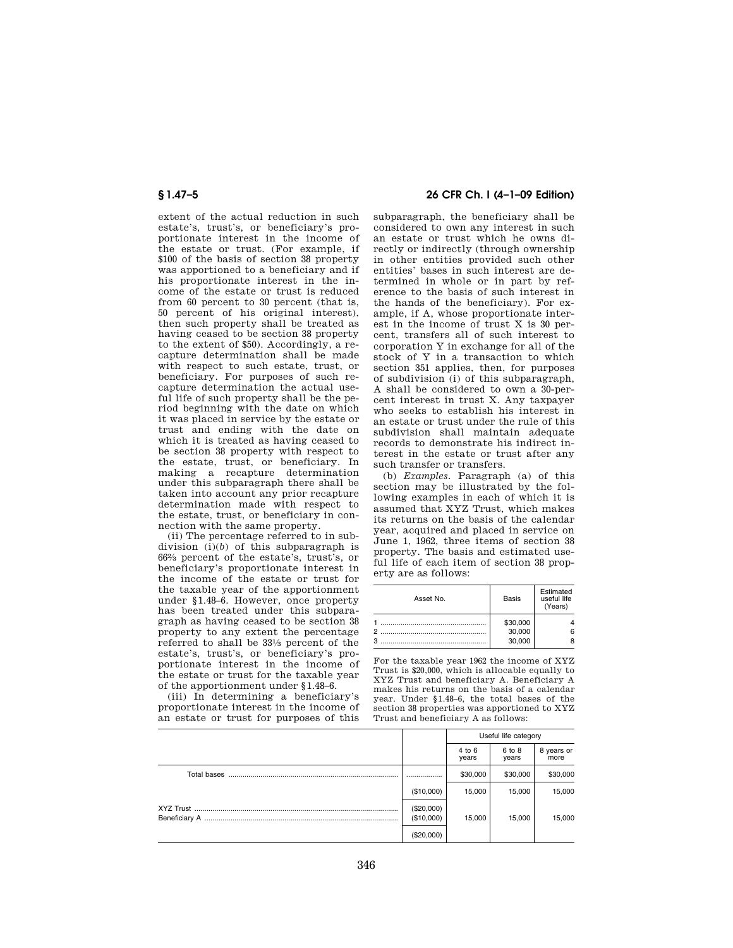extent of the actual reduction in such estate's, trust's, or beneficiary's proportionate interest in the income of the estate or trust. (For example, if \$100 of the basis of section 38 property was apportioned to a beneficiary and if his proportionate interest in the income of the estate or trust is reduced from 60 percent to 30 percent (that is, 50 percent of his original interest), then such property shall be treated as having ceased to be section 38 property to the extent of \$50). Accordingly, a recapture determination shall be made with respect to such estate, trust, or beneficiary. For purposes of such recapture determination the actual useful life of such property shall be the period beginning with the date on which it was placed in service by the estate or trust and ending with the date on which it is treated as having ceased to be section 38 property with respect to the estate, trust, or beneficiary. In making a recapture determination under this subparagraph there shall be taken into account any prior recapture determination made with respect to the estate, trust, or beneficiary in connection with the same property.

(ii) The percentage referred to in subdivision (i)(*b*) of this subparagraph is 662⁄3 percent of the estate's, trust's, or beneficiary's proportionate interest in the income of the estate or trust for the taxable year of the apportionment under §1.48–6. However, once property has been treated under this subparagraph as having ceased to be section 38 property to any extent the percentage referred to shall be 331⁄3 percent of the estate's, trust's, or beneficiary's proportionate interest in the income of the estate or trust for the taxable year of the apportionment under §1.48–6.

(iii) In determining a beneficiary's proportionate interest in the income of an estate or trust for purposes of this

# **§ 1.47–5 26 CFR Ch. I (4–1–09 Edition)**

subparagraph, the beneficiary shall be considered to own any interest in such an estate or trust which he owns directly or indirectly (through ownership in other entities provided such other entities' bases in such interest are determined in whole or in part by reference to the basis of such interest in the hands of the beneficiary). For example, if A, whose proportionate interest in the income of trust X is 30 percent, transfers all of such interest to corporation Y in exchange for all of the stock of Y in a transaction to which section 351 applies, then, for purposes of subdivision (i) of this subparagraph, A shall be considered to own a 30-percent interest in trust X. Any taxpayer who seeks to establish his interest in an estate or trust under the rule of this subdivision shall maintain adequate records to demonstrate his indirect interest in the estate or trust after any such transfer or transfers.

(b) *Examples.* Paragraph (a) of this section may be illustrated by the following examples in each of which it is assumed that XYZ Trust, which makes its returns on the basis of the calendar year, acquired and placed in service on June 1, 1962, three items of section 38 property. The basis and estimated useful life of each item of section 38 property are as follows:

| Asset No. | Basis              | Estimated<br>useful life<br>(Years) |
|-----------|--------------------|-------------------------------------|
| 2         | \$30,000<br>30,000 | հ                                   |
| 3         | 30,000             |                                     |

For the taxable year 1962 the income of XYZ Trust is \$20,000, which is allocable equally to XYZ Trust and beneficiary A. Beneficiary A makes his returns on the basis of a calendar year. Under §1.48–6, the total bases of the section 38 properties was apportioned to XYZ Trust and beneficiary A as follows:

|               |                          | Useful life category |                 |                    |
|---------------|--------------------------|----------------------|-----------------|--------------------|
|               |                          | 4 to 6<br>years      | 6 to 8<br>years | 8 years or<br>more |
| Total bases   |                          | \$30,000             | \$30,000        | \$30,000           |
|               | (\$10,000)               | 15.000               | 15,000          | 15,000             |
| Beneficiary A | (\$20,000)<br>(\$10,000) | 15,000               | 15,000          | 15,000             |
|               | (\$20,000)               |                      |                 |                    |